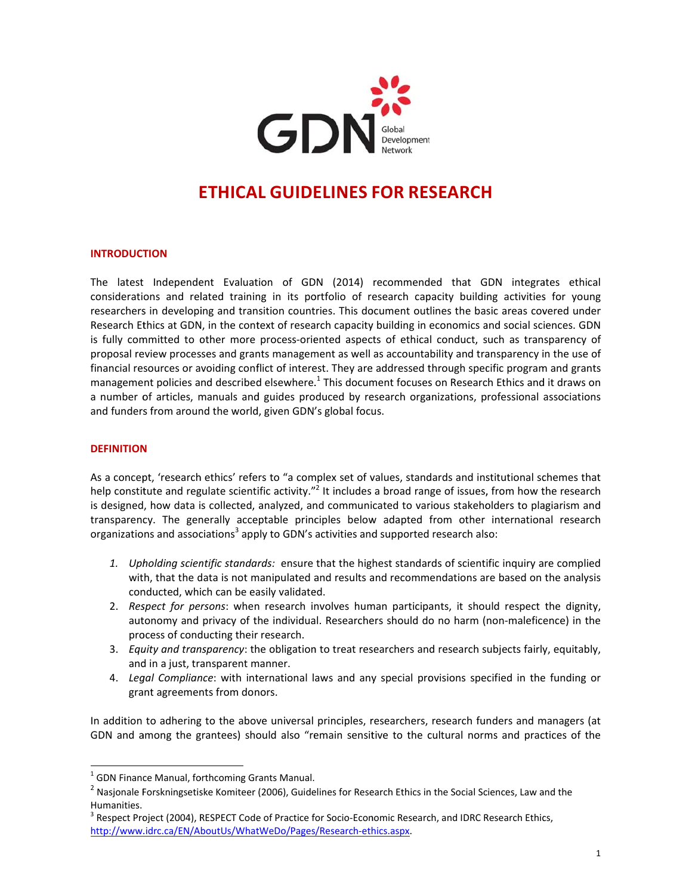

# **ETHICAL GUIDELINES FOR RESEARCH**

#### **INTRODUCTION**

The latest Independent Evaluation of GDN (2014) recommended that GDN integrates ethical considerations and related training in its portfolio of research capacity building activities for young researchers in developing and transition countries. This document outlines the basic areas covered under Research Ethics at GDN, in the context of research capacity building in economics and social sciences. GDN is fully committed to other more process-oriented aspects of ethical conduct, such as transparency of proposal review processes and grants management as well as accountability and transparency in the use of financial resources or avoiding conflict of interest. They are addressed through specific program and grants management policies and described elsewhere.<sup>1</sup> This document focuses on Research Ethics and it draws on a number of articles, manuals and guides produced by research organizations, professional associations and funders from around the world, given GDN's global focus.

#### **DEFINITION**

As a concept, 'research ethics' refers to "a complex set of values, standards and institutional schemes that help constitute and regulate scientific activity."<sup>2</sup> It includes a broad range of issues, from how the research is designed, how data is collected, analyzed, and communicated to various stakeholders to plagiarism and transparency. The generally acceptable principles below adapted from other international research organizations and associations<sup>3</sup> apply to GDN's activities and supported research also:

- 1. Upholding scientific standards: ensure that the highest standards of scientific inquiry are complied with, that the data is not manipulated and results and recommendations are based on the analysis conducted, which can be easily validated.
- 2. Respect for persons: when research involves human participants, it should respect the dignity, autonomy and privacy of the individual. Researchers should do no harm (non-maleficence) in the process of conducting their research.
- 3. Equity and transparency: the obligation to treat researchers and research subjects fairly, equitably, and in a just, transparent manner.
- 4. Legal Compliance: with international laws and any special provisions specified in the funding or grant agreements from donors.

In addition to adhering to the above universal principles, researchers, research funders and managers (at GDN and among the grantees) should also "remain sensitive to the cultural norms and practices of the

<sup>&</sup>lt;sup>1</sup> GDN Finance Manual, forthcoming Grants Manual.

 $^2$  Nasionale Forskningsetiske Komiteer (2006), Guidelines for Research Ethics in the Social Sciences, Law and the Humanities.

<sup>&</sup>lt;sup>3</sup> Respect Project (2004), RESPECT Code of Practice for Socio-Economic Research, and IDRC Research Ethics, http://www.idrc.ca/EN/AboutUs/WhatWeDo/Pages/Research-ethics.aspx.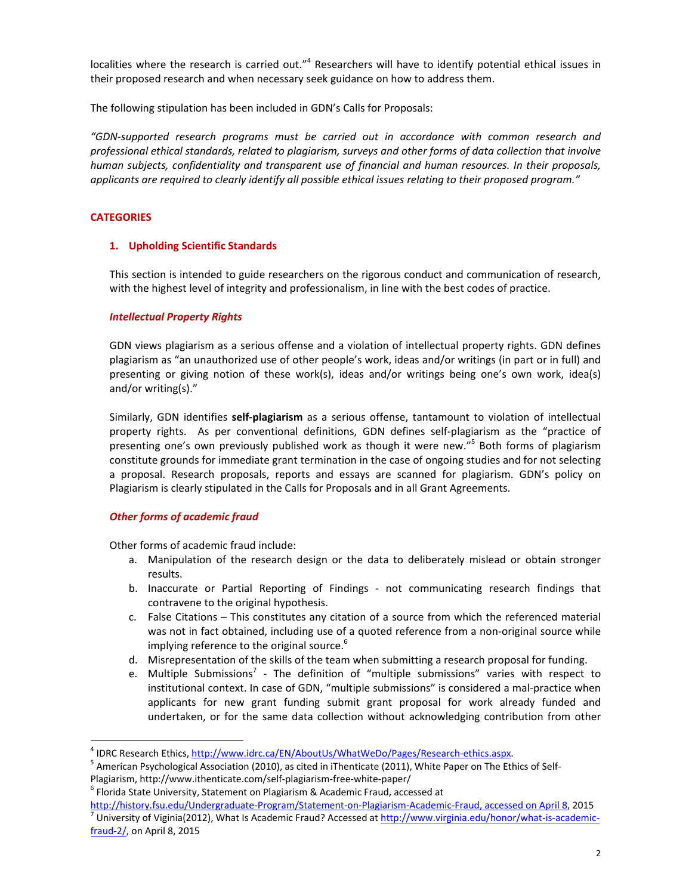localities where the research is carried out."<sup>4</sup> Researchers will have to identify potential ethical issues in their proposed research and when necessary seek guidance on how to address them.

The following stipulation has been included in GDN's Calls for Proposals:

*"GDN‐supported research programs must be carried out in accordance with common research and professional ethical standards, related to plagiarism, surveys and other forms of data collection that involve human subjects, confidentiality and transparent use of financial and human resources. In their proposals, applicants are required to clearly identify all possible ethical issues relating to their proposed program."*

# **CATEGORIES**

## **1. Upholding Scientific Standards**

This section is intended to guide researchers on the rigorous conduct and communication of research, with the highest level of integrity and professionalism, in line with the best codes of practice.

## *Intellectual Property Rights*

GDN views plagiarism as a serious offense and a violation of intellectual property rights. GDN defines plagiarism as "an unauthorized use of other people's work, ideas and/or writings (in part or in full) and presenting or giving notion of these work(s), ideas and/or writings being one's own work, idea(s) and/or writing(s)."

Similarly, GDN identifies **self‐plagiarism** as a serious offense, tantamount to violation of intellectual property rights. As per conventional definitions, GDN defines self-plagiarism as the "practice of presenting one's own previously published work as though it were new."5 Both forms of plagiarism constitute grounds for immediate grant termination in the case of ongoing studies and for not selecting a proposal. Research proposals, reports and essays are scanned for plagiarism. GDN's policy on Plagiarism is clearly stipulated in the Calls for Proposals and in all Grant Agreements.

# *Other forms of academic fraud*

Other forms of academic fraud include:

- a. Manipulation of the research design or the data to deliberately mislead or obtain stronger results.
- b. Inaccurate or Partial Reporting of Findings ‐ not communicating research findings that contravene to the original hypothesis.
- c. False Citations This constitutes any citation of a source from which the referenced material was not in fact obtained, including use of a quoted reference from a non-original source while implying reference to the original source.<sup>6</sup>
- d. Misrepresentation of the skills of the team when submitting a research proposal for funding.
- e. Multiple Submissions<sup>7</sup> The definition of "multiple submissions" varies with respect to institutional context. In case of GDN, "multiple submissions" is considered a mal-practice when applicants for new grant funding submit grant proposal for work already funded and undertaken, or for the same data collection without acknowledging contribution from other

<sup>&</sup>lt;sup>4</sup> IDRC Research Ethics, http://www.idrc.ca/EN/AboutUs/WhatWeDo/Pages/Research-ethics.aspx.<br><sup>5</sup> American Psychological Association (2010), as cited in iThenticate (2011), White Paper on The Ethics of Self-Plagiarism, http://www.ithenticate.com/self-plagiarism-free-white-paper/<br><sup>6</sup> Florida State University, Statement on Plagiarism & Academic Fraud, accessed at

http://history.fsu.edu/Undergraduate-Program/Statement-on-Plagiarism-Academic-Fraud, accessed on April 8, 2015<br><sup>7</sup> University of Viginia(2012), What Is Academic Fraud? Accessed at <u>http://www.virginia.edu/honor/what-is-aca</u> fraud‐2/, on April 8, 2015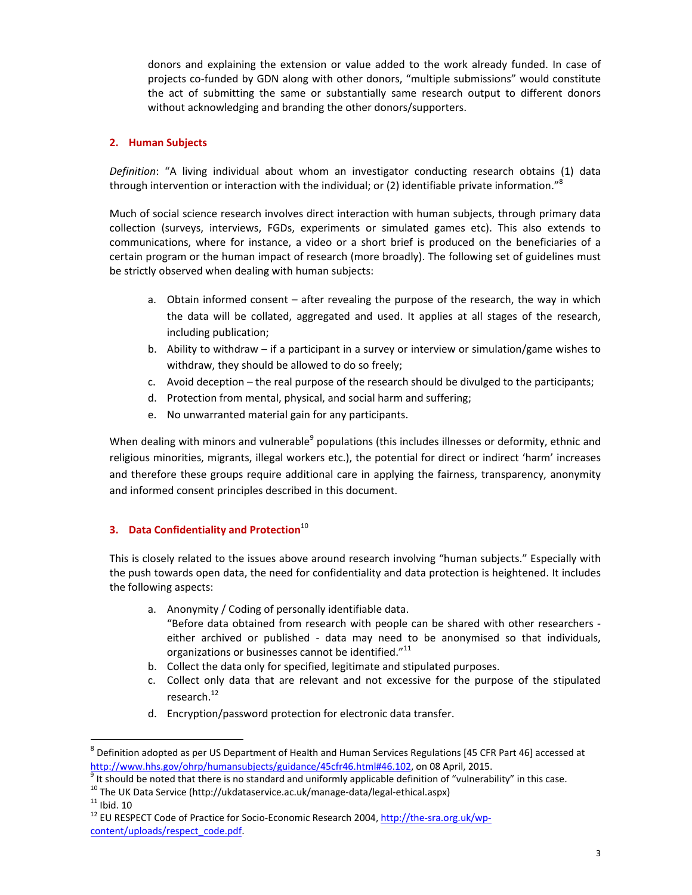donors and explaining the extension or value added to the work already funded. In case of projects co-funded by GDN along with other donors, "multiple submissions" would constitute the act of submitting the same or substantially same research output to different donors without acknowledging and branding the other donors/supporters.

## **2. Human Subjects**

*Definition*: "A living individual about whom an investigator conducting research obtains (1) data through intervention or interaction with the individual; or (2) identifiable private information."<sup>8</sup>

Much of social science research involves direct interaction with human subjects, through primary data collection (surveys, interviews, FGDs, experiments or simulated games etc). This also extends to communications, where for instance, a video or a short brief is produced on the beneficiaries of a certain program or the human impact of research (more broadly). The following set of guidelines must be strictly observed when dealing with human subjects:

- a. Obtain informed consent after revealing the purpose of the research, the way in which the data will be collated, aggregated and used. It applies at all stages of the research, including publication;
- b. Ability to withdraw if a participant in a survey or interview or simulation/game wishes to withdraw, they should be allowed to do so freely;
- c. Avoid deception the real purpose of the research should be divulged to the participants;
- d. Protection from mental, physical, and social harm and suffering;
- e. No unwarranted material gain for any participants.

When dealing with minors and vulnerable<sup>9</sup> populations (this includes illnesses or deformity, ethnic and religious minorities, migrants, illegal workers etc.), the potential for direct or indirect 'harm' increases and therefore these groups require additional care in applying the fairness, transparency, anonymity and informed consent principles described in this document.

## **3. Data Confidentiality and Protection**<sup>10</sup>

This is closely related to the issues above around research involving "human subjects." Especially with the push towards open data, the need for confidentiality and data protection is heightened. It includes the following aspects:

- a. Anonymity / Coding of personally identifiable data. "Before data obtained from research with people can be shared with other researchers ‐ either archived or published - data may need to be anonymised so that individuals, organizations or businesses cannot be identified."<sup>11</sup>
- b. Collect the data only for specified, legitimate and stipulated purposes.
- c. Collect only data that are relevant and not excessive for the purpose of the stipulated research.<sup>12</sup>
- d. Encryption/password protection for electronic data transfer.

<sup>8</sup> Definition adopted as per US Department of Health and Human Services Regulations [45 CFR Part 46] accessed at  $\frac{\text{http://www.hhs.gov/ohrp/human subjects/guidance/45cfr46.html#46.102}}{9}$  t should be noted that there is no standard and uniformly applicable definition of "vulnerability" in this case.<br>
<sup>10</sup> The UK Data Service (http://ukdataservice.ac.uk/manage-data/

content/uploads/respect\_code.pdf.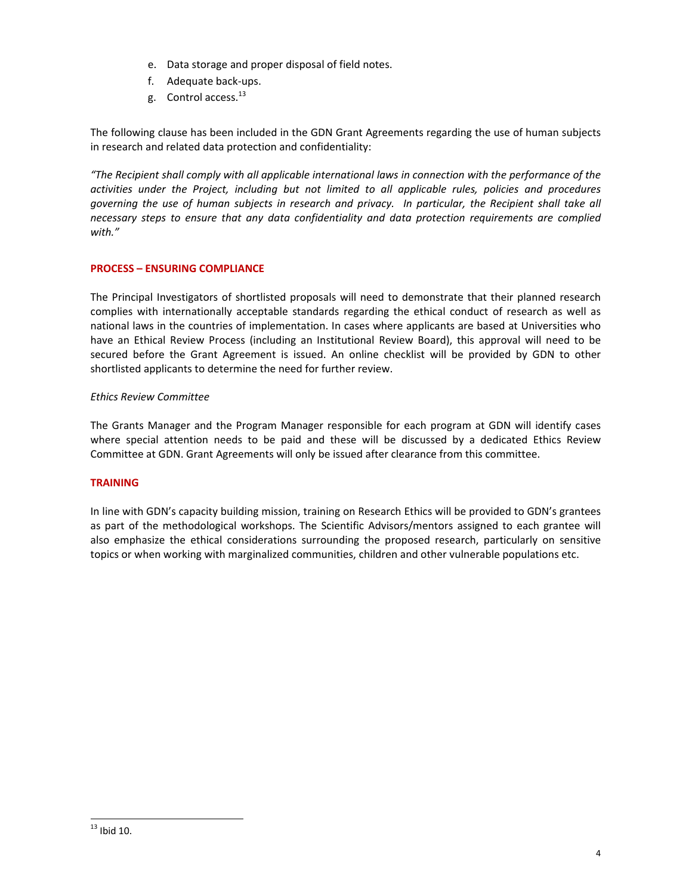- e. Data storage and proper disposal of field notes.
- f. Adequate back‐ups.
- g. Control access.<sup>13</sup>

The following clause has been included in the GDN Grant Agreements regarding the use of human subjects in research and related data protection and confidentiality:

*"The Recipient shall comply with all applicable international laws in connection with the performance of the activities under the Project, including but not limited to all applicable rules, policies and procedures* governing the use of human subjects in research and privacy. In particular, the Recipient shall take all *necessary steps to ensure that any data confidentiality and data protection requirements are complied with."*

## **PROCESS – ENSURING COMPLIANCE**

The Principal Investigators of shortlisted proposals will need to demonstrate that their planned research complies with internationally acceptable standards regarding the ethical conduct of research as well as national laws in the countries of implementation. In cases where applicants are based at Universities who have an Ethical Review Process (including an Institutional Review Board), this approval will need to be secured before the Grant Agreement is issued. An online checklist will be provided by GDN to other shortlisted applicants to determine the need for further review.

## *Ethics Review Committee*

The Grants Manager and the Program Manager responsible for each program at GDN will identify cases where special attention needs to be paid and these will be discussed by a dedicated Ethics Review Committee at GDN. Grant Agreements will only be issued after clearance from this committee.

## **TRAINING**

In line with GDN's capacity building mission, training on Research Ethics will be provided to GDN's grantees as part of the methodological workshops. The Scientific Advisors/mentors assigned to each grantee will also emphasize the ethical considerations surrounding the proposed research, particularly on sensitive topics or when working with marginalized communities, children and other vulnerable populations etc.

  $13$  Ibid 10.